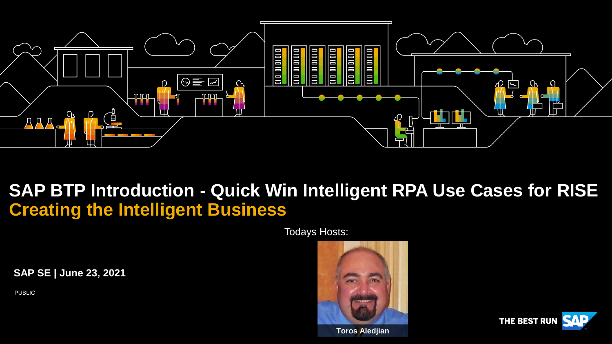

## **SAP BTP Introduction - Quick Win Intelligent RPA Use Cases for RISE Creating the Intelligent Business**

Todays Hosts:

**SAP SE | June 23, 2021**

PUBLIC



**Toros Aledjian**

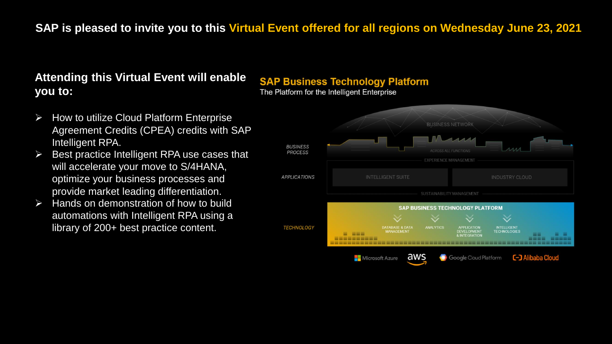#### **SAP is pleased to invite you to this Virtual Event offered for all regions on Wednesday June 23, 2021**

#### **Attending this Virtual Event will enable you to:**

- ➢ How to utilize Cloud Platform Enterprise Agreement Credits (CPEA) credits with SAP Intelligent RPA.
- $\triangleright$  Best practice Intelligent RPA use cases that will accelerate your move to S/4HANA, optimize your business processes and provide market leading differentiation.
- $\triangleright$  Hands on demonstration of how to build automations with Intelligent RPA using a library of 200+ best practice content.

#### **SAP Business Technology Platform**

The Platform for the Intelligent Enterprise

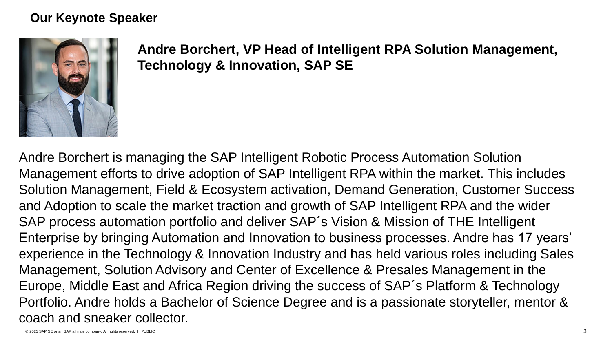#### **Our Keynote Speaker**



**Andre Borchert, VP Head of Intelligent RPA Solution Management, Technology & Innovation, SAP SE**

Andre Borchert is managing the SAP Intelligent Robotic Process Automation Solution Management efforts to drive adoption of SAP Intelligent RPA within the market. This includes Solution Management, Field & Ecosystem activation, Demand Generation, Customer Success and Adoption to scale the market traction and growth of SAP Intelligent RPA and the wider SAP process automation portfolio and deliver SAP´s Vision & Mission of THE Intelligent Enterprise by bringing Automation and Innovation to business processes. Andre has 17 years' experience in the Technology & Innovation Industry and has held various roles including Sales Management, Solution Advisory and Center of Excellence & Presales Management in the Europe, Middle East and Africa Region driving the success of SAP´s Platform & Technology Portfolio. Andre holds a Bachelor of Science Degree and is a passionate storyteller, mentor & coach and sneaker collector.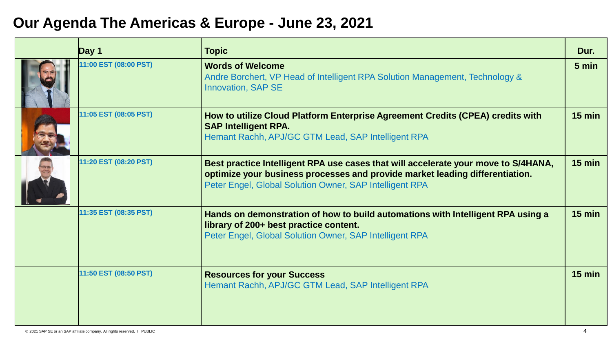## **Our Agenda The Americas & Europe - June 23, 2021**

| Day 1                 | <b>Topic</b>                                                                                                                                                                                                                  | Dur.     |
|-----------------------|-------------------------------------------------------------------------------------------------------------------------------------------------------------------------------------------------------------------------------|----------|
| 11:00 EST (08:00 PST) | <b>Words of Welcome</b><br>Andre Borchert, VP Head of Intelligent RPA Solution Management, Technology &<br><b>Innovation, SAP SE</b>                                                                                          | 5 min    |
| 11:05 EST (08:05 PST) | How to utilize Cloud Platform Enterprise Agreement Credits (CPEA) credits with<br><b>SAP Intelligent RPA.</b><br>Hemant Rachh, APJ/GC GTM Lead, SAP Intelligent RPA                                                           | $15$ min |
| 11:20 EST (08:20 PST) | Best practice Intelligent RPA use cases that will accelerate your move to S/4HANA,<br>optimize your business processes and provide market leading differentiation.<br>Peter Engel, Global Solution Owner, SAP Intelligent RPA | $15$ min |
| 11:35 EST (08:35 PST) | Hands on demonstration of how to build automations with Intelligent RPA using a<br>library of 200+ best practice content.<br>Peter Engel, Global Solution Owner, SAP Intelligent RPA                                          | $15$ min |
| 11:50 EST (08:50 PST) | <b>Resources for your Success</b><br>Hemant Rachh, APJ/GC GTM Lead, SAP Intelligent RPA                                                                                                                                       | $15$ min |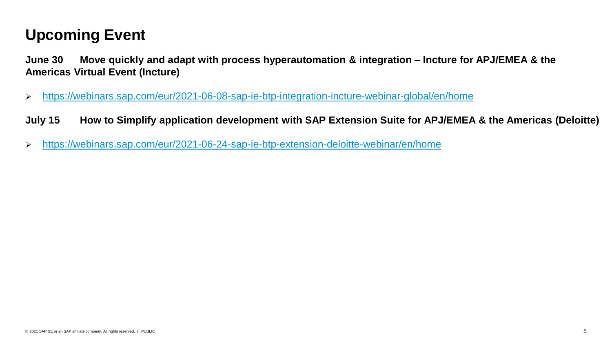## **Upcoming Event**

**June 30 Move quickly and adapt with process hyperautomation & integration – Incture for APJ/EMEA & the Americas Virtual Event (Incture)**

- ➢ <https://webinars.sap.com/eur/2021-06-08-sap-ie-btp-integration-incture-webinar-global/en/home>
- **July 15 How to Simplify application development with SAP Extension Suite for APJ/EMEA & the Americas (Deloitte)**
- ➢ <https://webinars.sap.com/eur/2021-06-24-sap-ie-btp-extension-deloitte-webinar/en/home>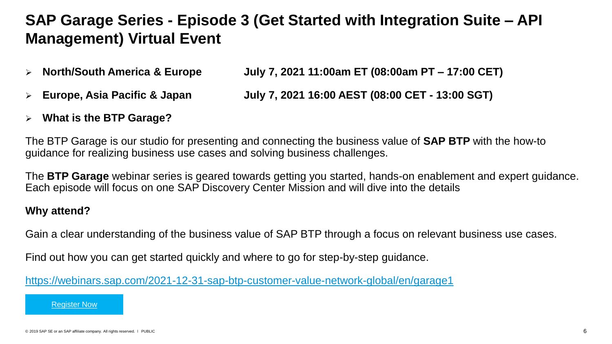## **SAP Garage Series - Episode 3 (Get Started with Integration Suite – API Management) Virtual Event**

- ➢ **North/South America & Europe July 7, 2021 11:00am ET (08:00am PT – 17:00 CET)**
- ➢ **Europe, Asia Pacific & Japan July 7, 2021 16:00 AEST (08:00 CET - 13:00 SGT)**
- ➢ **What is the BTP Garage?**

The BTP Garage is our studio for presenting and connecting the business value of **SAP BTP** with the how-to guidance for realizing business use cases and solving business challenges.

The **BTP Garage** webinar series is geared towards getting you started, hands-on enablement and expert guidance. Each episode will focus on one SAP Discovery Center Mission and will dive into the details

#### **Why attend?**

Gain a clear understanding of the business value of SAP BTP through a focus on relevant business use cases.

Find out how you can get started quickly and where to go for step-by-step guidance.

<https://webinars.sap.com/2021-12-31-sap-btp-customer-value-network-global/en/garage1>

[Register Now](https://webinars.sap.com/2021-12-31-sap-btp-customer-value-network-global/en/garage1)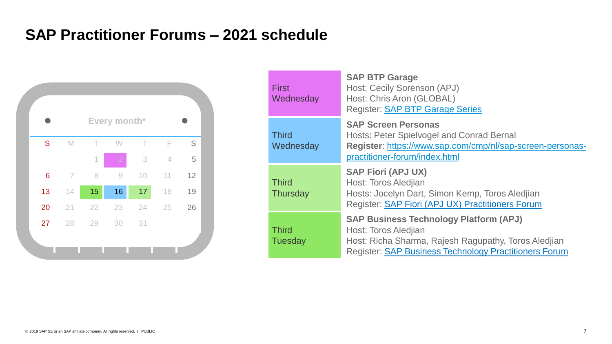## **SAP Practitioner Forums – 2021 schedule**



| <b>First</b><br>Wednesday      | <b>SAP BTP Garage</b><br>Host: Cecily Sorenson (APJ)<br>Host: Chris Aron (GLOBAL)<br><b>Register: SAP BTP Garage Series</b>                                                                   |
|--------------------------------|-----------------------------------------------------------------------------------------------------------------------------------------------------------------------------------------------|
| <b>Third</b><br>Wednesday      | <b>SAP Screen Personas</b><br><b>Hosts: Peter Spielvogel and Conrad Bernal</b><br>Register: https://www.sap.com/cmp/nl/sap-screen-personas-<br>practitioner-forum/index.html                  |
| <b>Third</b><br>Thursday       | <b>SAP Fiori (APJ UX)</b><br>Host: Toros Aledjian<br>Hosts: Jocelyn Dart, Simon Kemp, Toros Aledjian<br>Register: SAP Fiori (APJ UX) Practitioners Forum                                      |
| <b>Third</b><br><b>Tuesday</b> | <b>SAP Business Technology Platform (APJ)</b><br>Host: Toros Aledjian<br>Host: Richa Sharma, Rajesh Ragupathy, Toros Aledjian<br><b>Register: SAP Business Technology Practitioners Forum</b> |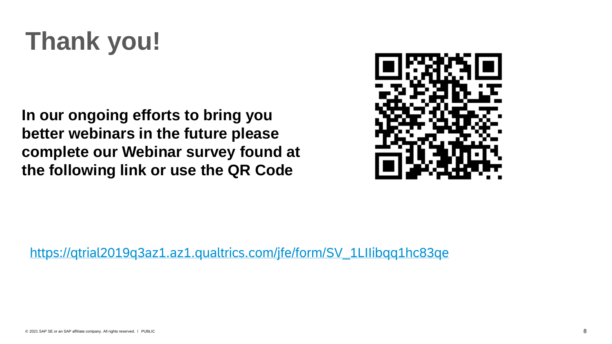# **Thank you!**

**In our ongoing efforts to bring you better webinars in the future please complete our Webinar survey found at the following link or use the QR Code**



[https://qtrial2019q3az1.az1.qualtrics.com/jfe/form/SV\\_1LIIibqq1hc83qe](https://qtrial2019q3az1.az1.qualtrics.com/jfe/form/SV_1LIIibqq1hc83qe)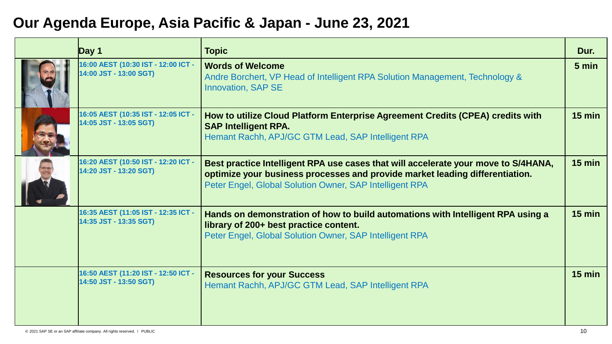## **Our Agenda Europe, Asia Pacific & Japan - June 23, 2021**

| Day $1$                                                       | <b>Topic</b>                                                                                                                                                                                                                  | Dur.             |
|---------------------------------------------------------------|-------------------------------------------------------------------------------------------------------------------------------------------------------------------------------------------------------------------------------|------------------|
| 16:00 AEST (10:30 IST - 12:00 ICT -<br>14:00 JST - 13:00 SGT) | <b>Words of Welcome</b><br>Andre Borchert, VP Head of Intelligent RPA Solution Management, Technology &<br><b>Innovation, SAP SE</b>                                                                                          | 5 min            |
| 16:05 AEST (10:35 IST - 12:05 ICT -<br>14:05 JST - 13:05 SGT) | How to utilize Cloud Platform Enterprise Agreement Credits (CPEA) credits with<br><b>SAP Intelligent RPA.</b><br>Hemant Rachh, APJ/GC GTM Lead, SAP Intelligent RPA                                                           | $15$ min         |
| 16:20 AEST (10:50 IST - 12:20 ICT -<br>14:20 JST - 13:20 SGT) | Best practice Intelligent RPA use cases that will accelerate your move to S/4HANA,<br>optimize your business processes and provide market leading differentiation.<br>Peter Engel, Global Solution Owner, SAP Intelligent RPA | $15$ min         |
| 16:35 AEST (11:05 IST - 12:35 ICT -<br>14:35 JST - 13:35 SGT) | Hands on demonstration of how to build automations with Intelligent RPA using a<br>library of 200+ best practice content.<br>Peter Engel, Global Solution Owner, SAP Intelligent RPA                                          | $15 \text{ min}$ |
| 16:50 AEST (11:20 IST - 12:50 ICT -<br>14:50 JST - 13:50 SGT) | <b>Resources for your Success</b><br>Hemant Rachh, APJ/GC GTM Lead, SAP Intelligent RPA                                                                                                                                       | $15$ min         |